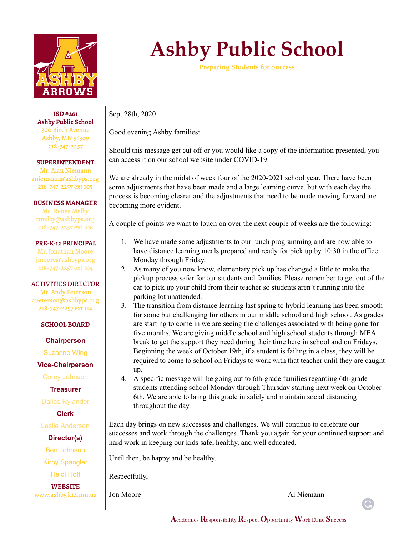

**ISD #261 Ashby Public School** 300 Birch Avenue Ashby, MN 56309 218-747-2257

**SUPERINTENDENT** Mr. Alan Niemann aniemann@ashbyps.org 218-747-2257 ext 105

**BUSINESS MANAGER** Ms. Renee Melby rmelby@ashbyps.org 218-747-2257 ext 106

**PRE-K-12 PRINCIPAL** Mr. Jonathan Moore jmoore@ashbyps.org 218-747-2257 ext 104

ACTIVITIES DIRECTOR Mr. Andy Peterson apeterson@ashbyps.org 218-747-2257 ext 114

## **SCHOOL BOARD**

**Chairperson**

Suzanne Wing

**Vice-Chairperson**

Corey Johnson

**Treasurer**

Dallas Rylander

**Clerk**

Leslie Anderson

**Director(s)**

Ben Johnson

Kirby Spangler

Heidi Hoff

**WEBSITE** www.ashby.k12.mn.us

## **Ashby Public School**

**Preparing Students for Success**

Sept 28th, 2020

Good evening Ashby families:

Should this message get cut off or you would like a copy of the information presented, you can access it on our school website under COVID-19.

We are already in the midst of week four of the 2020-2021 school year. There have been some adjustments that have been made and a large learning curve, but with each day the process is becoming clearer and the adjustments that need to be made moving forward are becoming more evident.

A couple of points we want to touch on over the next couple of weeks are the following:

- 1. We have made some adjustments to our lunch programming and are now able to have distance learning meals prepared and ready for pick up by 10:30 in the office Monday through Friday.
- 2. As many of you now know, elementary pick up has changed a little to make the pickup process safer for our students and families. Please remember to get out of the car to pick up your child from their teacher so students aren't running into the parking lot unattended.
- 3. The transition from distance learning last spring to hybrid learning has been smooth for some but challenging for others in our middle school and high school. As grades are starting to come in we are seeing the challenges associated with being gone for five months. We are giving middle school and high school students through MEA break to get the support they need during their time here in school and on Fridays. Beginning the week of October 19th, if a student is failing in a class, they will be required to come to school on Fridays to work with that teacher until they are caught up.
- 4. A specific message will be going out to 6th-grade families regarding 6th-grade students attending school Monday through Thursday starting next week on October 6th. We are able to bring this grade in safely and maintain social distancing throughout the day.

Each day brings on new successes and challenges. We will continue to celebrate our successes and work through the challenges. Thank you again for your continued support and hard work in keeping our kids safe, healthy, and well educated.

Until then, be happy and be healthy.

Respectfully,

Jon Moore Al Niemann

G.